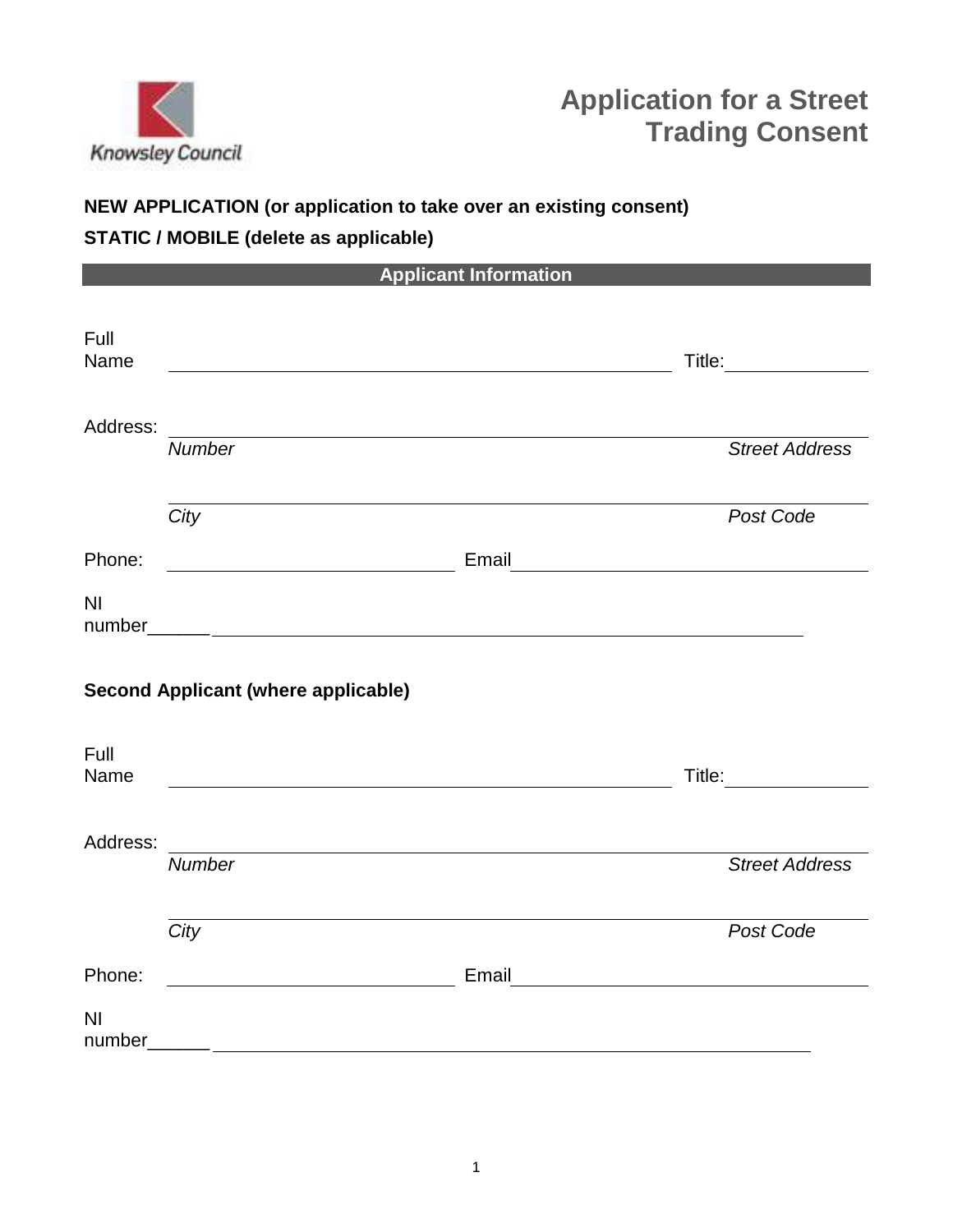

# **Application for a Street Trading Consent**

# **NEW APPLICATION (or application to take over an existing consent)**

# **STATIC / MOBILE (delete as applicable)**

|                |                                                     | <b>Applicant Information</b>                          |                                                                                                                                                                                                                                      |
|----------------|-----------------------------------------------------|-------------------------------------------------------|--------------------------------------------------------------------------------------------------------------------------------------------------------------------------------------------------------------------------------------|
| Full<br>Name   |                                                     |                                                       | Title:                                                                                                                                                                                                                               |
| Address:       |                                                     | <u> 1989 - Johann Stein, fransk politik (f. 1989)</u> |                                                                                                                                                                                                                                      |
|                | <b>Number</b>                                       |                                                       | <b>Street Address</b>                                                                                                                                                                                                                |
|                | City                                                |                                                       | Post Code                                                                                                                                                                                                                            |
| Phone:         |                                                     |                                                       | Email <b>Executive Contract Contract Contract Contract Contract Contract Contract Contract Contract Contract Contract Contract Contract Contract Contract Contract Contract Contract Contract Contract Contract Contract Contrac</b> |
| N <sub>l</sub> |                                                     |                                                       |                                                                                                                                                                                                                                      |
|                | <b>Second Applicant (where applicable)</b>          |                                                       |                                                                                                                                                                                                                                      |
| Full<br>Name   |                                                     |                                                       | Title: <b>The Company of the Company of the Company</b>                                                                                                                                                                              |
| Address:       | <b>Number</b>                                       | <u> 1980 - Johann Barn, fransk politik (f. 1980)</u>  | <b>Street Address</b>                                                                                                                                                                                                                |
|                |                                                     |                                                       |                                                                                                                                                                                                                                      |
|                | City                                                |                                                       | Post Code                                                                                                                                                                                                                            |
| Phone:         | <u> 1989 - Johann Barbara, martxa eta politikar</u> | Email                                                 | <u> 1989 - Andrea State Barbara, amerikan per</u>                                                                                                                                                                                    |
| N <sub>l</sub> |                                                     |                                                       |                                                                                                                                                                                                                                      |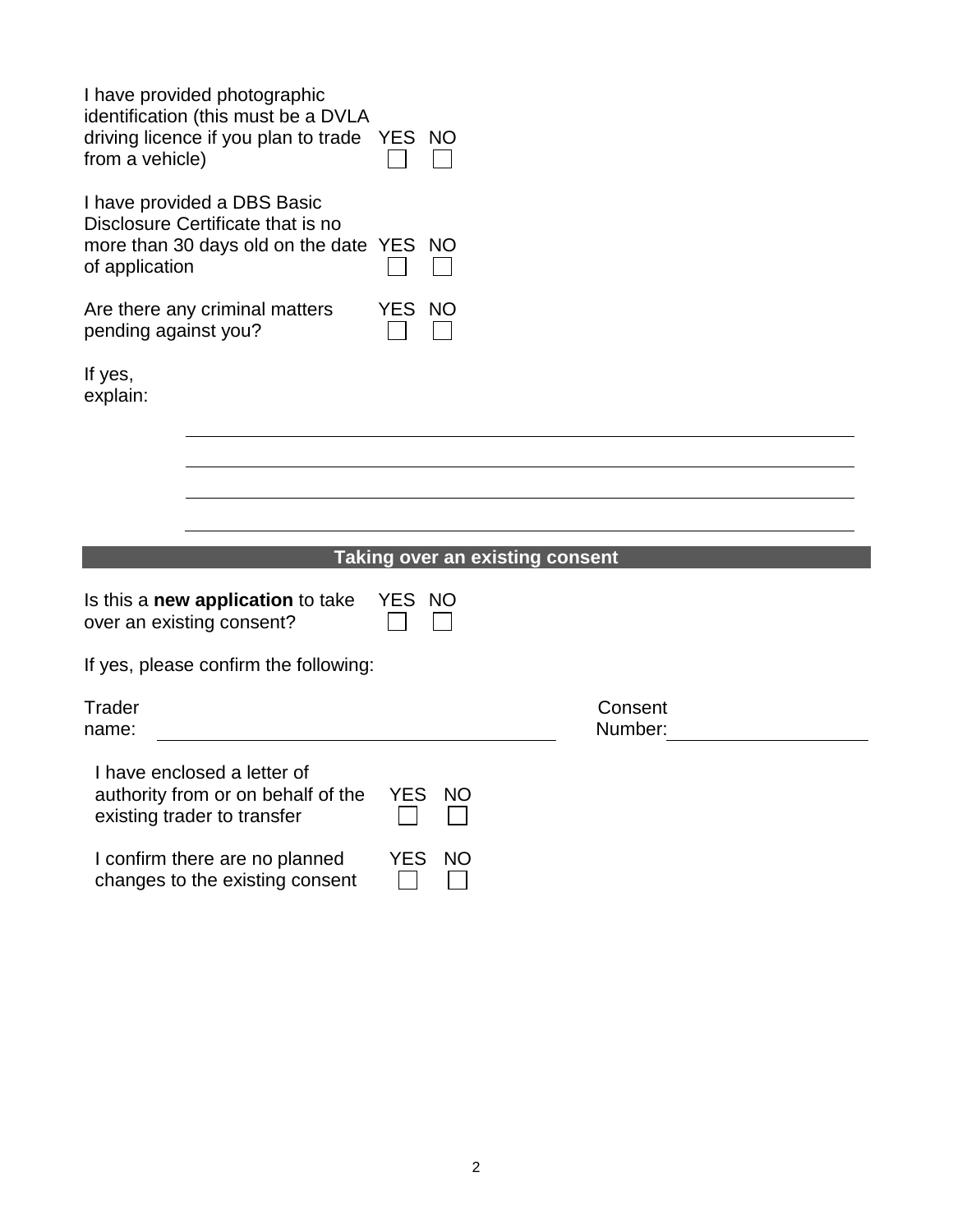| I have provided photographic<br>identification (this must be a DVLA<br>driving licence if you plan to trade YES NO<br>from a vehicle) |            |                                        |                    |
|---------------------------------------------------------------------------------------------------------------------------------------|------------|----------------------------------------|--------------------|
| I have provided a DBS Basic<br>Disclosure Certificate that is no<br>more than 30 days old on the date YES NO<br>of application        |            |                                        |                    |
| Are there any criminal matters<br>pending against you?                                                                                | YES NO     |                                        |                    |
| If yes,<br>explain:                                                                                                                   |            |                                        |                    |
|                                                                                                                                       |            |                                        |                    |
|                                                                                                                                       |            |                                        |                    |
|                                                                                                                                       |            |                                        |                    |
|                                                                                                                                       |            | <b>Taking over an existing consent</b> |                    |
| Is this a new application to take<br>over an existing consent?                                                                        | YES NO     |                                        |                    |
| If yes, please confirm the following:                                                                                                 |            |                                        |                    |
| Trader<br>name:                                                                                                                       |            |                                        | Consent<br>Number: |
| I have enclosed a letter of<br>authority from or on behalf of the<br>existing trader to transfer                                      | <b>YES</b> | <b>NO</b>                              |                    |
| I confirm there are no planned<br>changes to the existing consent                                                                     | <b>YES</b> | <b>NO</b>                              |                    |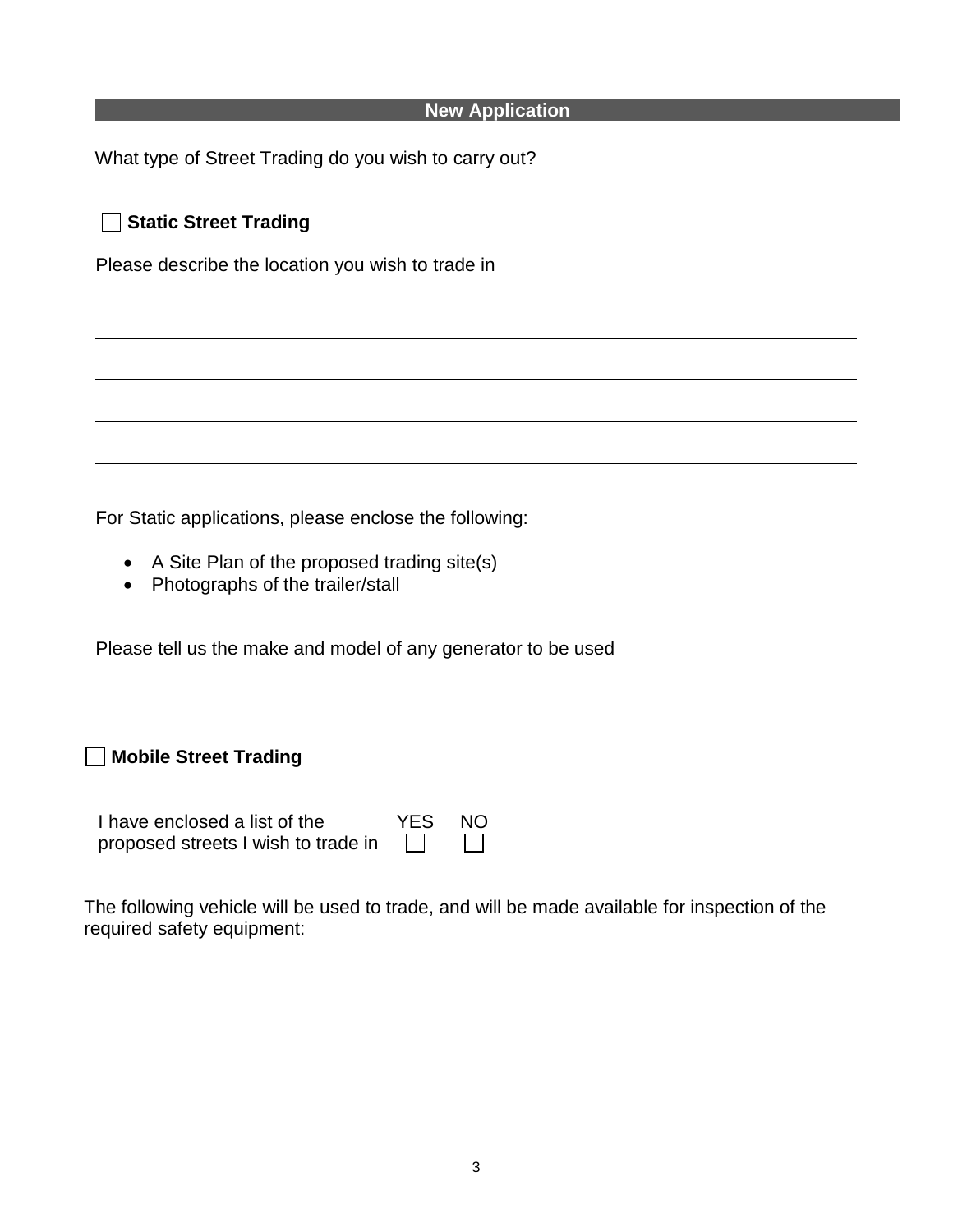| <b>New Application</b>                                                                            |
|---------------------------------------------------------------------------------------------------|
| What type of Street Trading do you wish to carry out?                                             |
| <b>Static Street Trading</b>                                                                      |
| Please describe the location you wish to trade in                                                 |
|                                                                                                   |
|                                                                                                   |
|                                                                                                   |
|                                                                                                   |
| For Static applications, please enclose the following:                                            |
| A Site Plan of the proposed trading site(s)<br>$\bullet$<br>Photographs of the trailer/stall<br>٠ |
| Please tell us the make and model of any generator to be used                                     |
|                                                                                                   |
| <b>Mobile Street Trading</b>                                                                      |

| I have enclosed a list of the       | YES NO  |            |
|-------------------------------------|---------|------------|
| proposed streets I wish to trade in | $\perp$ | $\sqrt{1}$ |

The following vehicle will be used to trade, and will be made available for inspection of the required safety equipment: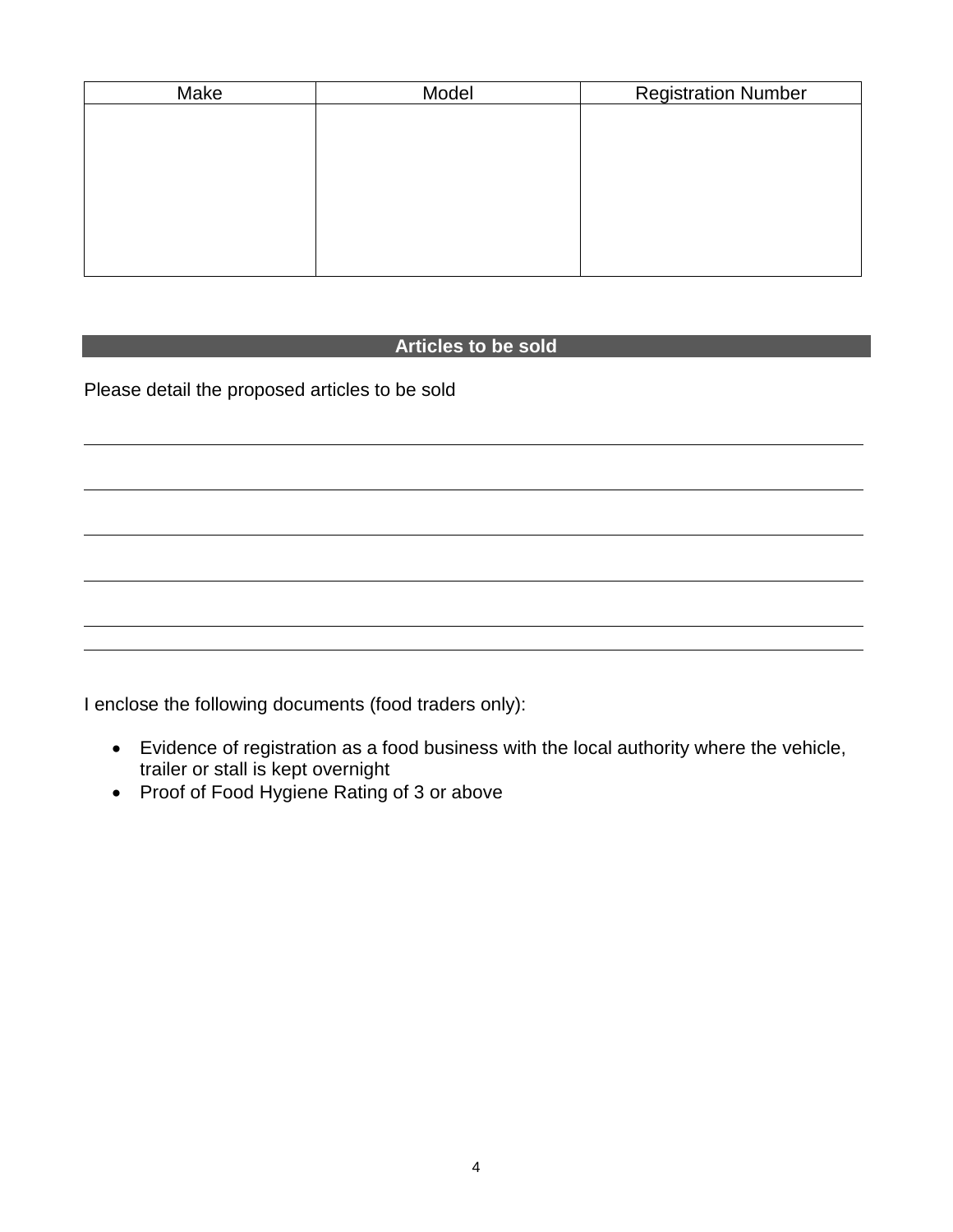| <b>Registration Number</b> |
|----------------------------|
|                            |
|                            |
|                            |
|                            |
|                            |
|                            |
|                            |
|                            |

## **Articles to be sold**

Please detail the proposed articles to be sold

I enclose the following documents (food traders only):

- Evidence of registration as a food business with the local authority where the vehicle, trailer or stall is kept overnight
- Proof of Food Hygiene Rating of 3 or above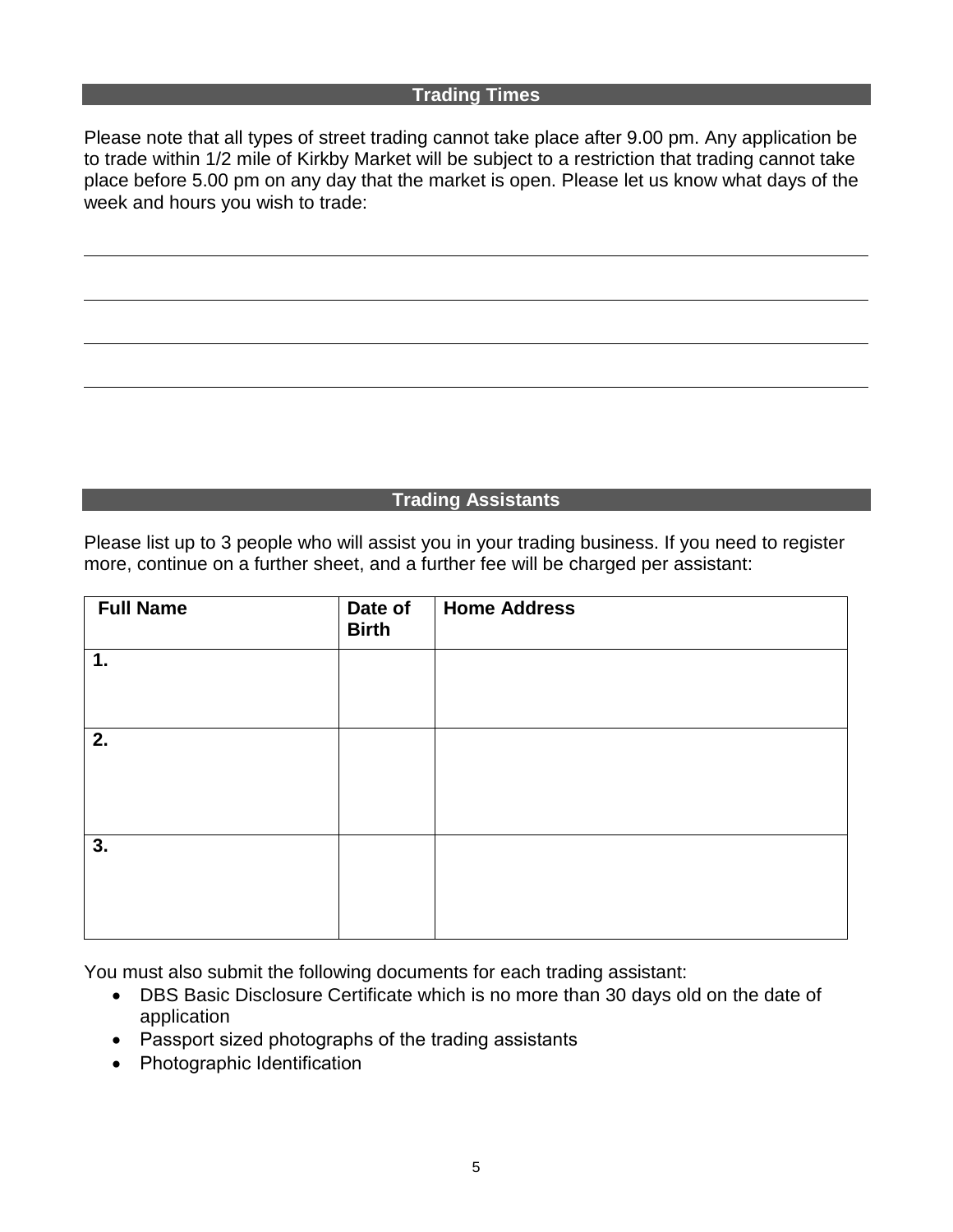#### **Trading Times**

Please note that all types of street trading cannot take place after 9.00 pm. Any application be to trade within 1/2 mile of Kirkby Market will be subject to a restriction that trading cannot take place before 5.00 pm on any day that the market is open. Please let us know what days of the week and hours you wish to trade:

## **Trading Assistants**

Please list up to 3 people who will assist you in your trading business. If you need to register more, continue on a further sheet, and a further fee will be charged per assistant:

| <b>Full Name</b> | Date of<br><b>Birth</b> | <b>Home Address</b> |
|------------------|-------------------------|---------------------|
| 1.               |                         |                     |
|                  |                         |                     |
| 2.               |                         |                     |
|                  |                         |                     |
|                  |                         |                     |
| 3.               |                         |                     |
|                  |                         |                     |
|                  |                         |                     |

You must also submit the following documents for each trading assistant:

- DBS Basic Disclosure Certificate which is no more than 30 days old on the date of application
- Passport sized photographs of the trading assistants
- Photographic Identification